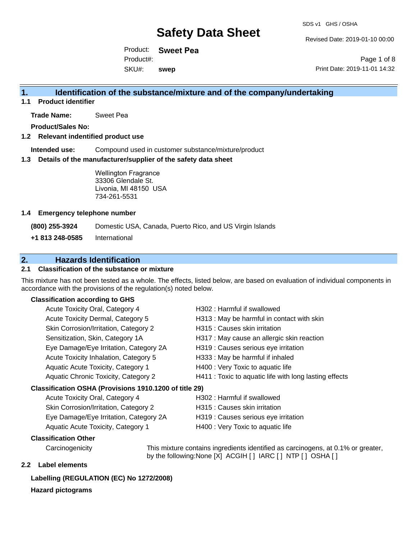Revised Date: 2019-01-10 00:00

Product: **Sweet Pea** SKU#: Product#: **swep**

Page 1 of 8 Print Date: 2019-11-01 14:32

### **1. Identification of the substance/mixture and of the company/undertaking**

**1.1 Product identifier**

**Trade Name:** Sweet Pea

**Product/Sales No:**

#### **1.2 Relevant indentified product use**

**Intended use:** Compound used in customer substance/mixture/product

#### **1.3 Details of the manufacturer/supplier of the safety data sheet**

Wellington Fragrance 33306 Glendale St. Livonia, MI 48150 USA 734-261-5531

#### **1.4 Emergency telephone number**

**(800) 255-3924** Domestic USA, Canada, Puerto Rico, and US Virgin Islands

**+1 813 248-0585** International

### **2. Hazards Identification**

#### **2.1 Classification of the substance or mixture**

This mixture has not been tested as a whole. The effects, listed below, are based on evaluation of individual components in accordance with the provisions of the regulation(s) noted below.

#### **Classification according to GHS**

| Acute Toxicity Oral, Category 4                        | H302: Harmful if swallowed                             |
|--------------------------------------------------------|--------------------------------------------------------|
| Acute Toxicity Dermal, Category 5                      | H313 : May be harmful in contact with skin             |
| Skin Corrosion/Irritation, Category 2                  | H315 : Causes skin irritation                          |
| Sensitization, Skin, Category 1A                       | H317 : May cause an allergic skin reaction             |
| Eye Damage/Eye Irritation, Category 2A                 | H319 : Causes serious eye irritation                   |
| Acute Toxicity Inhalation, Category 5                  | H333: May be harmful if inhaled                        |
| Aquatic Acute Toxicity, Category 1                     | H400 : Very Toxic to aquatic life                      |
| Aquatic Chronic Toxicity, Category 2                   | H411 : Toxic to aquatic life with long lasting effects |
| Classification OSHA (Provisions 1910.1200 of title 29) |                                                        |
| Acute Toxicity Oral, Category 4                        | H302 : Harmful if swallowed                            |

| Acute Toxicity Oral, Category 4        | H302: Harmful if swallowed           |
|----------------------------------------|--------------------------------------|
| Skin Corrosion/Irritation, Category 2  | H315 : Causes skin irritation        |
| Eye Damage/Eye Irritation, Category 2A | H319 : Causes serious eye irritation |
| Aquatic Acute Toxicity, Category 1     | H400 : Very Toxic to aquatic life    |

#### **Classification Other**

Carcinogenicity This mixture contains ingredients identified as carcinogens, at 0.1% or greater, by the following:None [X] ACGIH [ ] IARC [ ] NTP [ ] OSHA [ ]

#### **2.2 Label elements**

#### **Labelling (REGULATION (EC) No 1272/2008)**

#### **Hazard pictograms**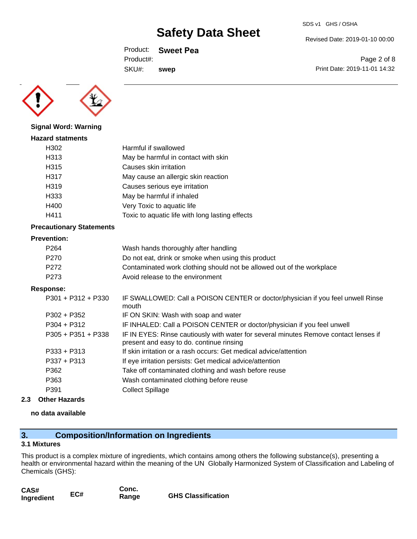SDS v1 GHS / OSHA

Revised Date: 2019-01-10 00:00

Product: **Sweet Pea** SKU#: Product#: **swep**

Page 2 of 8 Print Date: 2019-11-01 14:32



### **Signal Word: Warning Hazard statments** H302 Harmful if swallowed H313 May be harmful in contact with skin H315 Causes skin irritation H317 May cause an allergic skin reaction H319 Causes serious eye irritation H333 May be harmful if inhaled H400 Very Toxic to aquatic life H411 Toxic to aquatic life with long lasting effects

#### **Precautionary Statements**

#### **Prevention:**

| P <sub>264</sub> | Wash hands thoroughly after handling                                  |
|------------------|-----------------------------------------------------------------------|
| P270             | Do not eat, drink or smoke when using this product                    |
| P272             | Contaminated work clothing should not be allowed out of the workplace |
| P273             | Avoid release to the environment                                      |

#### **Response:**

| $P301 + P312 + P330$ | IF SWALLOWED: Call a POISON CENTER or doctor/physician if you feel unwell Rinse<br>mouth                                         |
|----------------------|----------------------------------------------------------------------------------------------------------------------------------|
| $P302 + P352$        | IF ON SKIN: Wash with soap and water                                                                                             |
| $P304 + P312$        | IF INHALED: Call a POISON CENTER or doctor/physician if you feel unwell                                                          |
| $P305 + P351 + P338$ | IF IN EYES: Rinse cautiously with water for several minutes Remove contact lenses if<br>present and easy to do. continue rinsing |
| $P333 + P313$        | If skin irritation or a rash occurs: Get medical advice/attention                                                                |
| $P337 + P313$        | If eye irritation persists: Get medical advice/attention                                                                         |
| P362                 | Take off contaminated clothing and wash before reuse                                                                             |
| P363                 | Wash contaminated clothing before reuse                                                                                          |
| P391                 | <b>Collect Spillage</b>                                                                                                          |
|                      |                                                                                                                                  |

#### **2.3 Other Hazards**

#### **no data available**

### **3. Composition/Information on Ingredients**

#### **3.1 Mixtures**

This product is a complex mixture of ingredients, which contains among others the following substance(s), presenting a health or environmental hazard within the meaning of the UN Globally Harmonized System of Classification and Labeling of Chemicals (GHS):

| CAS#       |     | Conc. |                           |
|------------|-----|-------|---------------------------|
| Ingredient | EC# | Range | <b>GHS Classification</b> |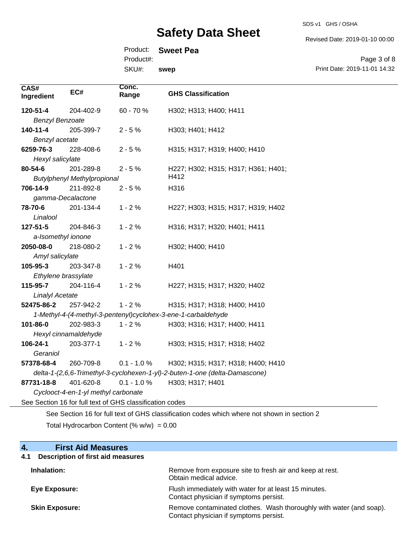SDS v1 GHS / OSHA

Revised Date: 2019-01-10 00:00

Product: **Sweet Pea**

Product#:

**Conc.** 

SKU#: **swep**

Page 3 of 8 Print Date: 2019-11-01 14:32

| CAS#<br>Ingredient     | EC#                                 | Conc.<br>Range                                           | <b>GHS Classification</b>                                                                   |
|------------------------|-------------------------------------|----------------------------------------------------------|---------------------------------------------------------------------------------------------|
| 120-51-4               | 204-402-9                           | 60 - 70 %                                                | H302; H313; H400; H411                                                                      |
| <b>Benzyl Benzoate</b> |                                     |                                                          |                                                                                             |
| 140-11-4               | 205-399-7                           | $2 - 5%$                                                 | H303; H401; H412                                                                            |
| Benzyl acetate         |                                     |                                                          |                                                                                             |
| 6259-76-3              | 228-408-6                           | $2 - 5%$                                                 | H315; H317; H319; H400; H410                                                                |
| Hexyl salicylate       |                                     |                                                          |                                                                                             |
| 80-54-6                | 201-289-8                           | $2 - 5%$                                                 | H227; H302; H315; H317; H361; H401;                                                         |
|                        | <b>Butylphenyl Methylpropional</b>  |                                                          | H412                                                                                        |
| 706-14-9               | 211-892-8                           | $2 - 5%$                                                 | H316                                                                                        |
| gamma-Decalactone      |                                     |                                                          |                                                                                             |
| 78-70-6                | 201-134-4                           | $1 - 2%$                                                 | H227; H303; H315; H317; H319; H402                                                          |
| Linalool               |                                     |                                                          |                                                                                             |
| 127-51-5               | 204-846-3                           | $1 - 2%$                                                 | H316; H317; H320; H401; H411                                                                |
| a-Isomethyl ionone     |                                     |                                                          |                                                                                             |
| 2050-08-0              | 218-080-2                           | $1 - 2%$                                                 | H302; H400; H410                                                                            |
| Amyl salicylate        |                                     |                                                          |                                                                                             |
| 105-95-3               | 203-347-8                           | $1 - 2%$                                                 | H401                                                                                        |
| Ethylene brassylate    |                                     |                                                          |                                                                                             |
| 115-95-7               | 204-116-4                           | $1 - 2%$                                                 | H227; H315; H317; H320; H402                                                                |
| <b>Linalyl Acetate</b> |                                     |                                                          |                                                                                             |
| 52475-86-2             | 257-942-2                           | $1 - 2%$                                                 | H315; H317; H318; H400; H410                                                                |
|                        |                                     |                                                          | 1-Methyl-4-(4-methyl-3-pentenyl)cyclohex-3-ene-1-carbaldehyde                               |
| 101-86-0               | 202-983-3                           | $1 - 2%$                                                 | H303; H316; H317; H400; H411                                                                |
|                        | Hexyl cinnamaldehyde                |                                                          |                                                                                             |
| 106-24-1               | 203-377-1                           | $1 - 2%$                                                 | H303; H315; H317; H318; H402                                                                |
| Geraniol               |                                     |                                                          |                                                                                             |
| 57378-68-4             | 260-709-8                           | $0.1 - 1.0 %$                                            | H302; H315; H317; H318; H400; H410                                                          |
|                        |                                     |                                                          | delta-1-(2,6,6-Trimethyl-3-cyclohexen-1-yl)-2-buten-1-one (delta-Damascone)                 |
| 87731-18-8             | 401-620-8                           | $0.1 - 1.0 \%$                                           | H303; H317; H401                                                                            |
|                        | Cyclooct-4-en-1-yl methyl carbonate |                                                          |                                                                                             |
|                        |                                     | See Section 16 for full text of GHS classification codes |                                                                                             |
|                        |                                     |                                                          | See Section 16 for full text of GHS classification codes which where not shown in section 2 |

Total Hydrocarbon Content  $(\% w/w) = 0.00$ 

| <b>First Aid Measures</b><br>4.                 |                                                                                                               |
|-------------------------------------------------|---------------------------------------------------------------------------------------------------------------|
| <b>Description of first aid measures</b><br>4.1 |                                                                                                               |
| Inhalation:                                     | Remove from exposure site to fresh air and keep at rest.<br>Obtain medical advice.                            |
| Eye Exposure:                                   | Flush immediately with water for at least 15 minutes.<br>Contact physician if symptoms persist.               |
| <b>Skin Exposure:</b>                           | Remove contaminated clothes. Wash thoroughly with water (and soap).<br>Contact physician if symptoms persist. |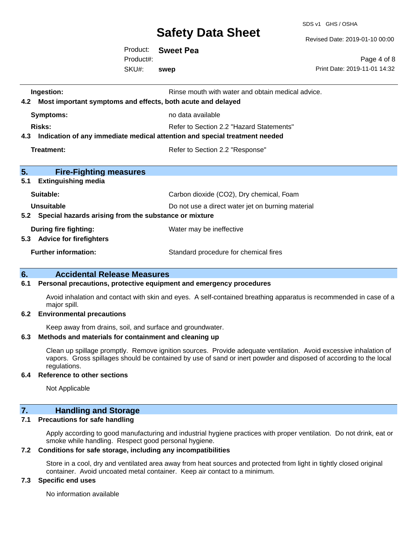SDS v1 GHS / OSHA

Revised Date: 2019-01-10 00:00

Print Date: 2019-11-01 14:32

Page 4 of 8

Product: **Sweet Pea** SKU#: Product#: **swep**

**Ingestion: Rinse mouth with water and obtain medical advice. Rinse mouth with water and obtain medical advice. 4.2 Most important symptoms and effects, both acute and delayed Symptoms:** no data available **Risks:** Risks: Refer to Section 2.2 "Hazard Statements" **4.3 Indication of any immediate medical attention and special treatment needed Treatment:** Refer to Section 2.2 "Response" **5. Fire-Fighting measures 5.1 Extinguishing media** Suitable: Carbon dioxide (CO2), Dry chemical, Foam **Unsuitable** Do not use a direct water jet on burning material **5.2 Special hazards arising from the substance or mixture During fire fighting:** Water may be ineffective **5.3 Advice for firefighters Further information:** Standard procedure for chemical fires

#### **6. Accidental Release Measures**

#### **6.1 Personal precautions, protective equipment and emergency procedures**

Avoid inhalation and contact with skin and eyes. A self-contained breathing apparatus is recommended in case of a major spill.

#### **6.2 Environmental precautions**

Keep away from drains, soil, and surface and groundwater.

#### **6.3 Methods and materials for containment and cleaning up**

Clean up spillage promptly. Remove ignition sources. Provide adequate ventilation. Avoid excessive inhalation of vapors. Gross spillages should be contained by use of sand or inert powder and disposed of according to the local regulations.

#### **6.4 Reference to other sections**

Not Applicable

### **7. Handling and Storage**

#### **7.1 Precautions for safe handling**

Apply according to good manufacturing and industrial hygiene practices with proper ventilation. Do not drink, eat or smoke while handling. Respect good personal hygiene.

#### **7.2 Conditions for safe storage, including any incompatibilities**

Store in a cool, dry and ventilated area away from heat sources and protected from light in tightly closed original container. Avoid uncoated metal container. Keep air contact to a minimum.

#### **7.3 Specific end uses**

No information available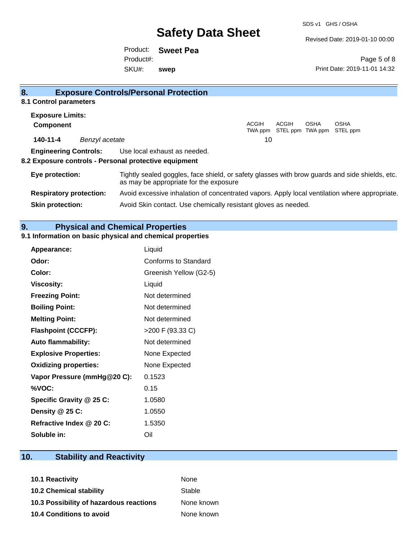SDS v1 GHS / OSHA

Revised Date: 2019-01-10 00:00

Product: **Sweet Pea** SKU#: Product#: **swep**

Page 5 of 8 Print Date: 2019-11-01 14:32

| 8.                                          |                | <b>Exposure Controls/Personal Protection</b>                                                                                             |         |                           |             |             |
|---------------------------------------------|----------------|------------------------------------------------------------------------------------------------------------------------------------------|---------|---------------------------|-------------|-------------|
| 8.1 Control parameters                      |                |                                                                                                                                          |         |                           |             |             |
| <b>Exposure Limits:</b><br><b>Component</b> |                |                                                                                                                                          | ACGIH   | ACGIH                     | <b>OSHA</b> | <b>OSHA</b> |
|                                             |                |                                                                                                                                          | TWA ppm | STEL ppm TWA ppm STEL ppm |             |             |
| 140-11-4                                    | Benzyl acetate |                                                                                                                                          | 10      |                           |             |             |
| <b>Engineering Controls:</b>                |                | Use local exhaust as needed.                                                                                                             |         |                           |             |             |
|                                             |                | 8.2 Exposure controls - Personal protective equipment                                                                                    |         |                           |             |             |
| Eye protection:                             |                | Tightly sealed goggles, face shield, or safety glasses with brow guards and side shields, etc.<br>as may be appropriate for the exposure |         |                           |             |             |
| <b>Respiratory protection:</b>              |                | Avoid excessive inhalation of concentrated vapors. Apply local ventilation where appropriate.                                            |         |                           |             |             |
| <b>Skin protection:</b>                     |                | Avoid Skin contact. Use chemically resistant gloves as needed.                                                                           |         |                           |             |             |

### **9. Physical and Chemical Properties**

## **9.1 Information on basic physical and chemical properties**

| <b>Appearance:</b>           | Liquid                 |
|------------------------------|------------------------|
| Odor:                        | Conforms to Standard   |
| Color:                       | Greenish Yellow (G2-5) |
| <b>Viscosity:</b>            | Liquid                 |
| <b>Freezing Point:</b>       | Not determined         |
| <b>Boiling Point:</b>        | Not determined         |
| <b>Melting Point:</b>        | Not determined         |
| <b>Flashpoint (CCCFP):</b>   | >200 F (93.33 C)       |
| <b>Auto flammability:</b>    | Not determined         |
| <b>Explosive Properties:</b> | None Expected          |
| <b>Oxidizing properties:</b> | None Expected          |
| Vapor Pressure (mmHg@20 C):  | 0.1523                 |
| %VOC:                        | 0.15                   |
| Specific Gravity @ 25 C:     | 1.0580                 |
| Density @ 25 C:              | 1.0550                 |
| Refractive Index @ 20 C:     | 1.5350                 |
| Soluble in:                  | Oil                    |

# **10. Stability and Reactivity**

| <b>10.1 Reactivity</b>                  | <b>None</b> |
|-----------------------------------------|-------------|
| <b>10.2 Chemical stability</b>          | Stable      |
| 10.3 Possibility of hazardous reactions | None known  |
| <b>10.4 Conditions to avoid</b>         | None known  |
|                                         |             |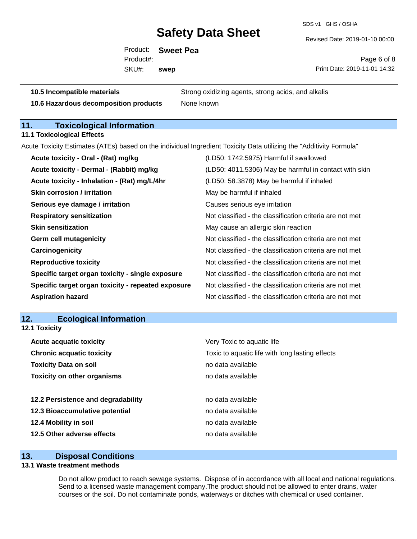SDS v1 GHS / OSHA

Revised Date: 2019-01-10 00:00

Product: **Sweet Pea** SKU#: Product#: **swep**

Page 6 of 8 Print Date: 2019-11-01 14:32

**10.6 Hazardous decomposition products** None known

**10.5 Incompatible materials** Strong oxidizing agents, strong acids, and alkalis

### **11. Toxicological Information**

**11.1 Toxicological Effects**

Acute Toxicity Estimates (ATEs) based on the individual Ingredient Toxicity Data utilizing the "Additivity Formula"

| Acute toxicity - Oral - (Rat) mg/kg                | (LD50: 1742.5975) Harmful if swallowed                   |
|----------------------------------------------------|----------------------------------------------------------|
| Acute toxicity - Dermal - (Rabbit) mg/kg           | (LD50: 4011.5306) May be harmful in contact with skin    |
| Acute toxicity - Inhalation - (Rat) mg/L/4hr       | (LD50: 58.3878) May be harmful if inhaled                |
| <b>Skin corrosion / irritation</b>                 | May be harmful if inhaled                                |
| Serious eye damage / irritation                    | Causes serious eye irritation                            |
| <b>Respiratory sensitization</b>                   | Not classified - the classification criteria are not met |
| <b>Skin sensitization</b>                          | May cause an allergic skin reaction                      |
| <b>Germ cell mutagenicity</b>                      | Not classified - the classification criteria are not met |
| Carcinogenicity                                    | Not classified - the classification criteria are not met |
| <b>Reproductive toxicity</b>                       | Not classified - the classification criteria are not met |
| Specific target organ toxicity - single exposure   | Not classified - the classification criteria are not met |
| Specific target organ toxicity - repeated exposure | Not classified - the classification criteria are not met |
| <b>Aspiration hazard</b>                           | Not classified - the classification criteria are not met |

#### **12. Ecological Information 12.1 Toxicity**

| Very Toxic to aquatic life                      |  |  |
|-------------------------------------------------|--|--|
| Toxic to aquatic life with long lasting effects |  |  |
| no data available                               |  |  |
| no data available                               |  |  |
|                                                 |  |  |
| no data available                               |  |  |
| no data available                               |  |  |
| no data available                               |  |  |
| no data available                               |  |  |
|                                                 |  |  |

#### **13. Disposal Conditions**

#### **13.1 Waste treatment methods**

Do not allow product to reach sewage systems. Dispose of in accordance with all local and national regulations. Send to a licensed waste management company.The product should not be allowed to enter drains, water courses or the soil. Do not contaminate ponds, waterways or ditches with chemical or used container.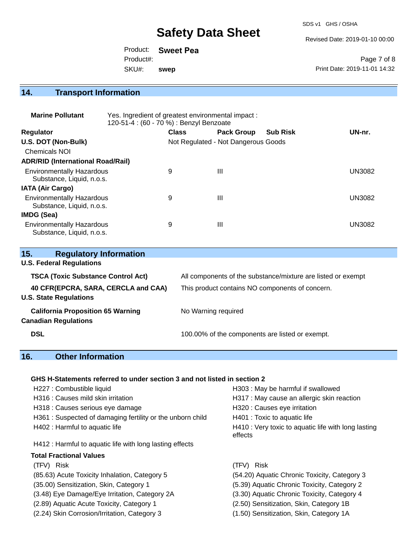SDS v1 GHS / OSHA

Revised Date: 2019-01-10 00:00

|           | Product: Sweet Pea |                              |
|-----------|--------------------|------------------------------|
| Product#: |                    | Page 7 of 8                  |
| SKU#:     | swep               | Print Date: 2019-11-01 14:32 |

# **14. Transport Information**

| <b>Marine Pollutant</b>                                       | Yes. Ingredient of greatest environmental impact:<br>120-51-4 : (60 - 70 %) : Benzyl Benzoate |              |                                     |                 |               |
|---------------------------------------------------------------|-----------------------------------------------------------------------------------------------|--------------|-------------------------------------|-----------------|---------------|
| <b>Regulator</b>                                              |                                                                                               | <b>Class</b> | <b>Pack Group</b>                   | <b>Sub Risk</b> | UN-nr.        |
| U.S. DOT (Non-Bulk)                                           |                                                                                               |              | Not Regulated - Not Dangerous Goods |                 |               |
| <b>Chemicals NOI</b>                                          |                                                                                               |              |                                     |                 |               |
| <b>ADR/RID (International Road/Rail)</b>                      |                                                                                               |              |                                     |                 |               |
| <b>Environmentally Hazardous</b><br>Substance, Liquid, n.o.s. |                                                                                               | 9            | Ш                                   |                 | <b>UN3082</b> |
| <b>IATA (Air Cargo)</b>                                       |                                                                                               |              |                                     |                 |               |
| <b>Environmentally Hazardous</b><br>Substance, Liquid, n.o.s. |                                                                                               | 9            | Ш                                   |                 | <b>UN3082</b> |
| <b>IMDG (Sea)</b>                                             |                                                                                               |              |                                     |                 |               |
| <b>Environmentally Hazardous</b><br>Substance, Liquid, n.o.s. |                                                                                               | 9            | $\mathbf{III}$                      |                 | UN3082        |

| 15.<br><b>Regulatory Information</b>      |                                                              |
|-------------------------------------------|--------------------------------------------------------------|
| <b>U.S. Federal Regulations</b>           |                                                              |
| <b>TSCA (Toxic Substance Control Act)</b> | All components of the substance/mixture are listed or exempt |
| 40 CFR(EPCRA, SARA, CERCLA and CAA)       | This product contains NO components of concern.              |
| <b>U.S. State Regulations</b>             |                                                              |
| <b>California Proposition 65 Warning</b>  | No Warning required                                          |
| <b>Canadian Regulations</b>               |                                                              |
| <b>DSL</b>                                | 100.00% of the components are listed or exempt.              |
|                                           |                                                              |

## **16. Other Information**

#### **GHS H-Statements referred to under section 3 and not listed in section 2**

| H227 : Combustible liquid                                 | H303: May be harmful if swallowed                              |
|-----------------------------------------------------------|----------------------------------------------------------------|
| H316 : Causes mild skin irritation                        | H317 : May cause an allergic skin reaction                     |
| H318 : Causes serious eye damage                          | H320 : Causes eye irritation                                   |
| H361: Suspected of damaging fertility or the unborn child | H401 : Toxic to aquatic life                                   |
| H402 : Harmful to aquatic life                            | H410 : Very toxic to aquatic life with long lasting<br>effects |
| H412 : Harmful to aquatic life with long lasting effects  |                                                                |
| <b>Total Fractional Values</b>                            |                                                                |
| (TFV) Risk                                                | (TFV) Risk                                                     |
| (85.63) Acute Toxicity Inhalation, Category 5             | (54.20) Aquatic Chronic Toxicity, Category 3                   |
| (35.00) Sensitization, Skin, Category 1                   | (5.39) Aquatic Chronic Toxicity, Category 2                    |
| (3.48) Eye Damage/Eye Irritation, Category 2A             | (3.30) Aquatic Chronic Toxicity, Category 4                    |
| (2.89) Aquatic Acute Toxicity, Category 1                 | (2.50) Sensitization, Skin, Category 1B                        |
| (2.24) Skin Corrosion/Irritation, Category 3              | (1.50) Sensitization, Skin, Category 1A                        |
|                                                           |                                                                |